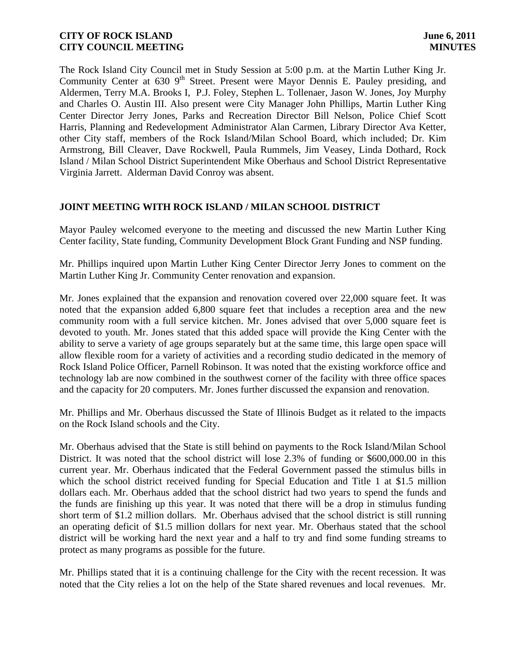The Rock Island City Council met in Study Session at 5:00 p.m. at the Martin Luther King Jr. Community Center at 630 9<sup>th</sup> Street. Present were Mayor Dennis E. Pauley presiding, and Aldermen, Terry M.A. Brooks I, P.J. Foley, Stephen L. Tollenaer, Jason W. Jones, Joy Murphy and Charles O. Austin III. Also present were City Manager John Phillips, Martin Luther King Center Director Jerry Jones, Parks and Recreation Director Bill Nelson, Police Chief Scott Harris, Planning and Redevelopment Administrator Alan Carmen, Library Director Ava Ketter, other City staff, members of the Rock Island/Milan School Board, which included; Dr. Kim Armstrong, Bill Cleaver, Dave Rockwell, Paula Rummels, Jim Veasey, Linda Dothard, Rock Island / Milan School District Superintendent Mike Oberhaus and School District Representative Virginia Jarrett. Alderman David Conroy was absent.

# **JOINT MEETING WITH ROCK ISLAND / MILAN SCHOOL DISTRICT**

Mayor Pauley welcomed everyone to the meeting and discussed the new Martin Luther King Center facility, State funding, Community Development Block Grant Funding and NSP funding.

Mr. Phillips inquired upon Martin Luther King Center Director Jerry Jones to comment on the Martin Luther King Jr. Community Center renovation and expansion.

Mr. Jones explained that the expansion and renovation covered over 22,000 square feet. It was noted that the expansion added 6,800 square feet that includes a reception area and the new community room with a full service kitchen. Mr. Jones advised that over 5,000 square feet is devoted to youth. Mr. Jones stated that this added space will provide the King Center with the ability to serve a variety of age groups separately but at the same time, this large open space will allow flexible room for a variety of activities and a recording studio dedicated in the memory of Rock Island Police Officer, Parnell Robinson. It was noted that the existing workforce office and technology lab are now combined in the southwest corner of the facility with three office spaces and the capacity for 20 computers. Mr. Jones further discussed the expansion and renovation.

Mr. Phillips and Mr. Oberhaus discussed the State of Illinois Budget as it related to the impacts on the Rock Island schools and the City.

Mr. Oberhaus advised that the State is still behind on payments to the Rock Island/Milan School District. It was noted that the school district will lose 2.3% of funding or \$600,000.00 in this current year. Mr. Oberhaus indicated that the Federal Government passed the stimulus bills in which the school district received funding for Special Education and Title 1 at \$1.5 million dollars each. Mr. Oberhaus added that the school district had two years to spend the funds and the funds are finishing up this year. It was noted that there will be a drop in stimulus funding short term of \$1.2 million dollars. Mr. Oberhaus advised that the school district is still running an operating deficit of \$1.5 million dollars for next year. Mr. Oberhaus stated that the school district will be working hard the next year and a half to try and find some funding streams to protect as many programs as possible for the future.

Mr. Phillips stated that it is a continuing challenge for the City with the recent recession. It was noted that the City relies a lot on the help of the State shared revenues and local revenues. Mr.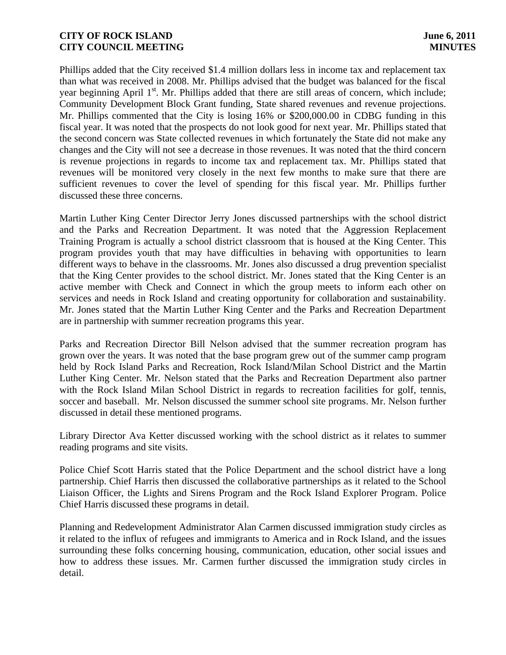Phillips added that the City received \$1.4 million dollars less in income tax and replacement tax than what was received in 2008. Mr. Phillips advised that the budget was balanced for the fiscal year beginning April 1<sup>st</sup>. Mr. Phillips added that there are still areas of concern, which include; Community Development Block Grant funding, State shared revenues and revenue projections. Mr. Phillips commented that the City is losing 16% or \$200,000.00 in CDBG funding in this fiscal year. It was noted that the prospects do not look good for next year. Mr. Phillips stated that the second concern was State collected revenues in which fortunately the State did not make any changes and the City will not see a decrease in those revenues. It was noted that the third concern is revenue projections in regards to income tax and replacement tax. Mr. Phillips stated that revenues will be monitored very closely in the next few months to make sure that there are sufficient revenues to cover the level of spending for this fiscal year. Mr. Phillips further discussed these three concerns.

Martin Luther King Center Director Jerry Jones discussed partnerships with the school district and the Parks and Recreation Department. It was noted that the Aggression Replacement Training Program is actually a school district classroom that is housed at the King Center. This program provides youth that may have difficulties in behaving with opportunities to learn different ways to behave in the classrooms. Mr. Jones also discussed a drug prevention specialist that the King Center provides to the school district. Mr. Jones stated that the King Center is an active member with Check and Connect in which the group meets to inform each other on services and needs in Rock Island and creating opportunity for collaboration and sustainability. Mr. Jones stated that the Martin Luther King Center and the Parks and Recreation Department are in partnership with summer recreation programs this year.

Parks and Recreation Director Bill Nelson advised that the summer recreation program has grown over the years. It was noted that the base program grew out of the summer camp program held by Rock Island Parks and Recreation, Rock Island/Milan School District and the Martin Luther King Center. Mr. Nelson stated that the Parks and Recreation Department also partner with the Rock Island Milan School District in regards to recreation facilities for golf, tennis, soccer and baseball. Mr. Nelson discussed the summer school site programs. Mr. Nelson further discussed in detail these mentioned programs.

Library Director Ava Ketter discussed working with the school district as it relates to summer reading programs and site visits.

Police Chief Scott Harris stated that the Police Department and the school district have a long partnership. Chief Harris then discussed the collaborative partnerships as it related to the School Liaison Officer, the Lights and Sirens Program and the Rock Island Explorer Program. Police Chief Harris discussed these programs in detail.

Planning and Redevelopment Administrator Alan Carmen discussed immigration study circles as it related to the influx of refugees and immigrants to America and in Rock Island, and the issues surrounding these folks concerning housing, communication, education, other social issues and how to address these issues. Mr. Carmen further discussed the immigration study circles in detail.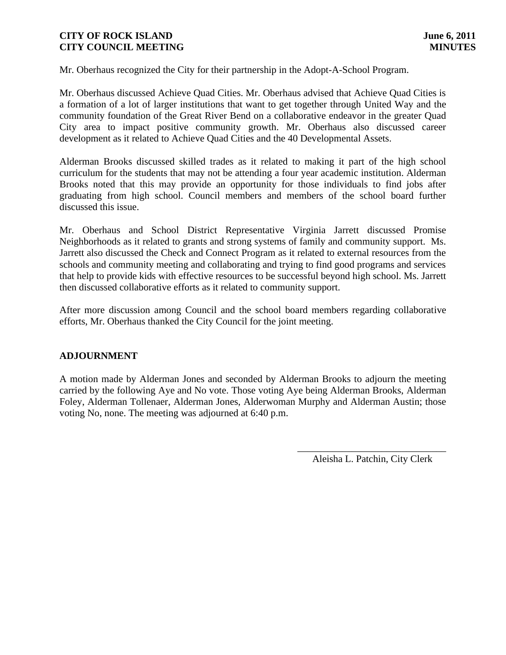Mr. Oberhaus recognized the City for their partnership in the Adopt-A-School Program.

Mr. Oberhaus discussed Achieve Quad Cities. Mr. Oberhaus advised that Achieve Quad Cities is a formation of a lot of larger institutions that want to get together through United Way and the community foundation of the Great River Bend on a collaborative endeavor in the greater Quad City area to impact positive community growth. Mr. Oberhaus also discussed career development as it related to Achieve Quad Cities and the 40 Developmental Assets.

Alderman Brooks discussed skilled trades as it related to making it part of the high school curriculum for the students that may not be attending a four year academic institution. Alderman Brooks noted that this may provide an opportunity for those individuals to find jobs after graduating from high school. Council members and members of the school board further discussed this issue.

Mr. Oberhaus and School District Representative Virginia Jarrett discussed Promise Neighborhoods as it related to grants and strong systems of family and community support. Ms. Jarrett also discussed the Check and Connect Program as it related to external resources from the schools and community meeting and collaborating and trying to find good programs and services that help to provide kids with effective resources to be successful beyond high school. Ms. Jarrett then discussed collaborative efforts as it related to community support.

After more discussion among Council and the school board members regarding collaborative efforts, Mr. Oberhaus thanked the City Council for the joint meeting.

# **ADJOURNMENT**

A motion made by Alderman Jones and seconded by Alderman Brooks to adjourn the meeting carried by the following Aye and No vote. Those voting Aye being Alderman Brooks, Alderman Foley, Alderman Tollenaer, Alderman Jones, Alderwoman Murphy and Alderman Austin; those voting No, none. The meeting was adjourned at 6:40 p.m.

> \_\_\_\_\_\_\_\_\_\_\_\_\_\_\_\_\_\_\_\_\_\_\_\_\_\_\_\_\_\_ Aleisha L. Patchin, City Clerk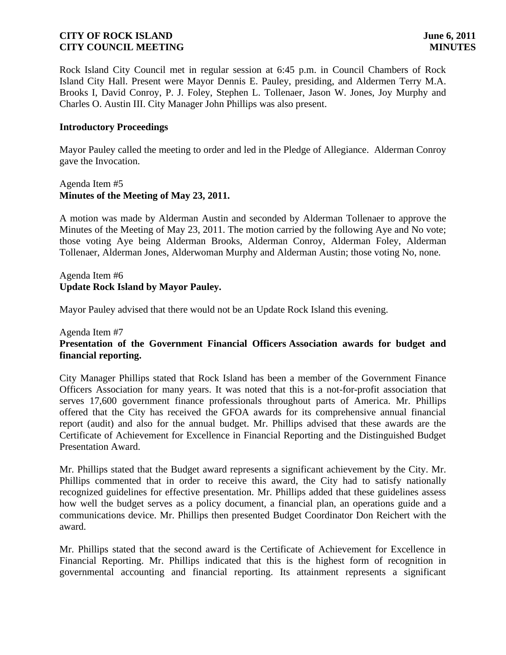Rock Island City Council met in regular session at 6:45 p.m. in Council Chambers of Rock Island City Hall. Present were Mayor Dennis E. Pauley, presiding, and Aldermen Terry M.A. Brooks I, David Conroy, P. J. Foley, Stephen L. Tollenaer, Jason W. Jones, Joy Murphy and Charles O. Austin III. City Manager John Phillips was also present.

## **Introductory Proceedings**

Mayor Pauley called the meeting to order and led in the Pledge of Allegiance. Alderman Conroy gave the Invocation.

### Agenda Item #5 **Minutes of the Meeting of May 23, 2011.**

A motion was made by Alderman Austin and seconded by Alderman Tollenaer to approve the Minutes of the Meeting of May 23, 2011. The motion carried by the following Aye and No vote; those voting Aye being Alderman Brooks, Alderman Conroy, Alderman Foley, Alderman Tollenaer, Alderman Jones, Alderwoman Murphy and Alderman Austin; those voting No, none.

Agenda Item #6 **Update Rock Island by Mayor Pauley.**

Mayor Pauley advised that there would not be an Update Rock Island this evening.

### Agenda Item #7

# **Presentation of the Government Financial Officers Association awards for budget and financial reporting.**

City Manager Phillips stated that Rock Island has been a member of the Government Finance Officers Association for many years. It was noted that this is a not-for-profit association that serves 17,600 government finance professionals throughout parts of America. Mr. Phillips offered that the City has received the GFOA awards for its comprehensive annual financial report (audit) and also for the annual budget. Mr. Phillips advised that these awards are the Certificate of Achievement for Excellence in Financial Reporting and the Distinguished Budget Presentation Award.

Mr. Phillips stated that the Budget award represents a significant achievement by the City. Mr. Phillips commented that in order to receive this award, the City had to satisfy nationally recognized guidelines for effective presentation. Mr. Phillips added that these guidelines assess how well the budget serves as a policy document, a financial plan, an operations guide and a communications device. Mr. Phillips then presented Budget Coordinator Don Reichert with the award.

Mr. Phillips stated that the second award is the Certificate of Achievement for Excellence in Financial Reporting. Mr. Phillips indicated that this is the highest form of recognition in governmental accounting and financial reporting. Its attainment represents a significant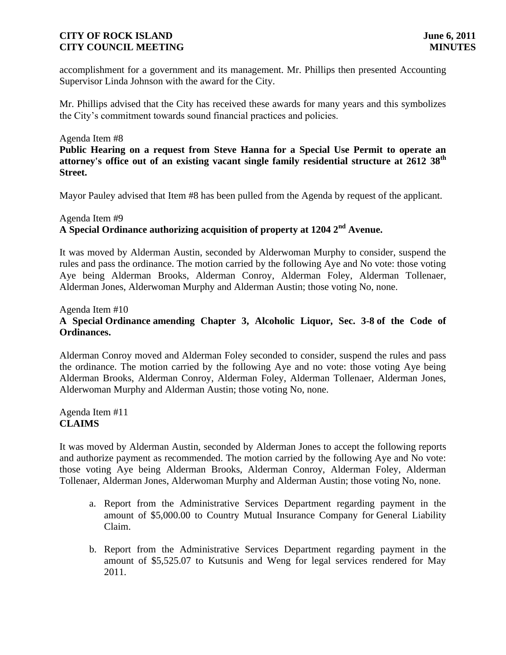accomplishment for a government and its management. Mr. Phillips then presented Accounting Supervisor Linda Johnson with the award for the City.

Mr. Phillips advised that the City has received these awards for many years and this symbolizes the City's commitment towards sound financial practices and policies.

## Agenda Item #8

**Public Hearing on a request from Steve Hanna for a Special Use Permit to operate an attorney's office out of an existing vacant single family residential structure at 2612 38th Street.**

Mayor Pauley advised that Item #8 has been pulled from the Agenda by request of the applicant.

## Agenda Item #9 **A Special Ordinance authorizing acquisition of property at 1204 2nd Avenue.**

It was moved by Alderman Austin, seconded by Alderwoman Murphy to consider, suspend the rules and pass the ordinance. The motion carried by the following Aye and No vote: those voting Aye being Alderman Brooks, Alderman Conroy, Alderman Foley, Alderman Tollenaer, Alderman Jones, Alderwoman Murphy and Alderman Austin; those voting No, none.

# Agenda Item #10 **A Special Ordinance amending Chapter 3, Alcoholic Liquor, Sec. 3-8 of the Code of Ordinances.**

Alderman Conroy moved and Alderman Foley seconded to consider, suspend the rules and pass the ordinance. The motion carried by the following Aye and no vote: those voting Aye being Alderman Brooks, Alderman Conroy, Alderman Foley, Alderman Tollenaer, Alderman Jones, Alderwoman Murphy and Alderman Austin; those voting No, none.

Agenda Item #11 **CLAIMS**

It was moved by Alderman Austin, seconded by Alderman Jones to accept the following reports and authorize payment as recommended. The motion carried by the following Aye and No vote: those voting Aye being Alderman Brooks, Alderman Conroy, Alderman Foley, Alderman Tollenaer, Alderman Jones, Alderwoman Murphy and Alderman Austin; those voting No, none.

- a. Report from the Administrative Services Department regarding payment in the amount of \$5,000.00 to Country Mutual Insurance Company for General Liability Claim.
- b. Report from the Administrative Services Department regarding payment in the amount of \$5,525.07 to Kutsunis and Weng for legal services rendered for May 2011.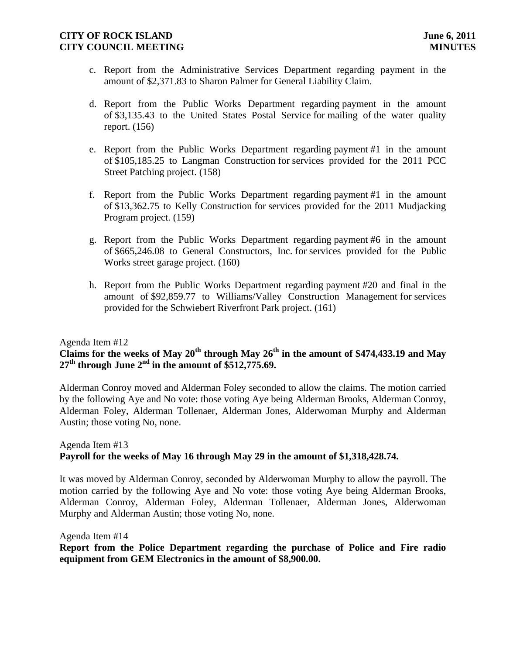- c. Report from the Administrative Services Department regarding payment in the amount of \$2,371.83 to Sharon Palmer for General Liability Claim.
- d. Report from the Public Works Department regarding payment in the amount of \$3,135.43 to the United States Postal Service for mailing of the water quality report. (156)
- e. Report from the Public Works Department regarding payment #1 in the amount of \$105,185.25 to Langman Construction for services provided for the 2011 PCC Street Patching project. (158)
- f. Report from the Public Works Department regarding payment #1 in the amount of \$13,362.75 to Kelly Construction for services provided for the 2011 Mudjacking Program project. (159)
- g. Report from the Public Works Department regarding payment #6 in the amount of \$665,246.08 to General Constructors, Inc. for services provided for the Public Works street garage project. (160)
- h. Report from the Public Works Department regarding payment #20 and final in the amount of \$92,859.77 to Williams/Valley Construction Management for services provided for the Schwiebert Riverfront Park project. (161)

## Agenda Item #12

# **Claims for the weeks of May 20th through May 26th in the amount of \$474,433.19 and May 27th through June 2nd in the amount of \$512,775.69.**

Alderman Conroy moved and Alderman Foley seconded to allow the claims. The motion carried by the following Aye and No vote: those voting Aye being Alderman Brooks, Alderman Conroy, Alderman Foley, Alderman Tollenaer, Alderman Jones, Alderwoman Murphy and Alderman Austin; those voting No, none.

## Agenda Item #13 **Payroll for the weeks of May 16 through May 29 in the amount of \$1,318,428.74.**

It was moved by Alderman Conroy, seconded by Alderwoman Murphy to allow the payroll. The motion carried by the following Aye and No vote: those voting Aye being Alderman Brooks, Alderman Conroy, Alderman Foley, Alderman Tollenaer, Alderman Jones, Alderwoman Murphy and Alderman Austin; those voting No, none.

Agenda Item #14

**Report from the Police Department regarding the purchase of Police and Fire radio equipment from GEM Electronics in the amount of \$8,900.00.**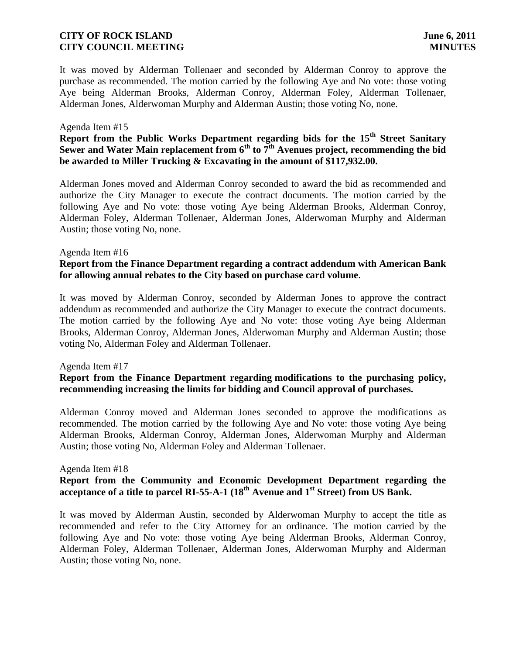It was moved by Alderman Tollenaer and seconded by Alderman Conroy to approve the purchase as recommended. The motion carried by the following Aye and No vote: those voting Aye being Alderman Brooks, Alderman Conroy, Alderman Foley, Alderman Tollenaer, Alderman Jones, Alderwoman Murphy and Alderman Austin; those voting No, none.

### Agenda Item #15

# **Report from the Public Works Department regarding bids for the 15th Street Sanitary Sewer and Water Main replacement from 6th to 7th Avenues project, recommending the bid be awarded to Miller Trucking & Excavating in the amount of \$117,932.00.**

Alderman Jones moved and Alderman Conroy seconded to award the bid as recommended and authorize the City Manager to execute the contract documents. The motion carried by the following Aye and No vote: those voting Aye being Alderman Brooks, Alderman Conroy, Alderman Foley, Alderman Tollenaer, Alderman Jones, Alderwoman Murphy and Alderman Austin; those voting No, none.

### Agenda Item #16

## **Report from the Finance Department regarding a contract addendum with American Bank for allowing annual rebates to the City based on purchase card volume**.

It was moved by Alderman Conroy, seconded by Alderman Jones to approve the contract addendum as recommended and authorize the City Manager to execute the contract documents. The motion carried by the following Aye and No vote: those voting Aye being Alderman Brooks, Alderman Conroy, Alderman Jones, Alderwoman Murphy and Alderman Austin; those voting No, Alderman Foley and Alderman Tollenaer.

### Agenda Item #17

# **Report from the Finance Department regarding modifications to the purchasing policy, recommending increasing the limits for bidding and Council approval of purchases.**

Alderman Conroy moved and Alderman Jones seconded to approve the modifications as recommended. The motion carried by the following Aye and No vote: those voting Aye being Alderman Brooks, Alderman Conroy, Alderman Jones, Alderwoman Murphy and Alderman Austin; those voting No, Alderman Foley and Alderman Tollenaer.

## Agenda Item #18

# **Report from the Community and Economic Development Department regarding the acceptance of a title to parcel RI-55-A-1 (18 th Avenue and 1st Street) from US Bank.**

It was moved by Alderman Austin, seconded by Alderwoman Murphy to accept the title as recommended and refer to the City Attorney for an ordinance. The motion carried by the following Aye and No vote: those voting Aye being Alderman Brooks, Alderman Conroy, Alderman Foley, Alderman Tollenaer, Alderman Jones, Alderwoman Murphy and Alderman Austin; those voting No, none.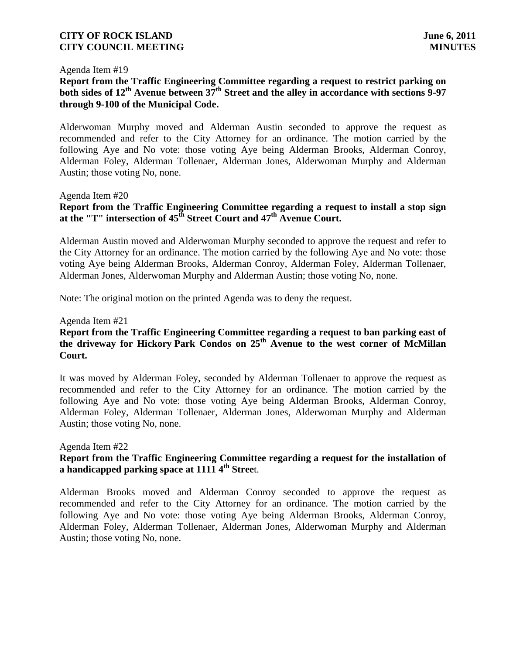#### Agenda Item #19

# **Report from the Traffic Engineering Committee regarding a request to restrict parking on both sides of 12th Avenue between 37th Street and the alley in accordance with sections 9-97 through 9-100 of the Municipal Code.**

Alderwoman Murphy moved and Alderman Austin seconded to approve the request as recommended and refer to the City Attorney for an ordinance. The motion carried by the following Aye and No vote: those voting Aye being Alderman Brooks, Alderman Conroy, Alderman Foley, Alderman Tollenaer, Alderman Jones, Alderwoman Murphy and Alderman Austin; those voting No, none.

### Agenda Item #20

# **Report from the Traffic Engineering Committee regarding a request to install a stop sign at the "T" intersection of 45th Street Court and 47th Avenue Court.**

Alderman Austin moved and Alderwoman Murphy seconded to approve the request and refer to the City Attorney for an ordinance. The motion carried by the following Aye and No vote: those voting Aye being Alderman Brooks, Alderman Conroy, Alderman Foley, Alderman Tollenaer, Alderman Jones, Alderwoman Murphy and Alderman Austin; those voting No, none.

Note: The original motion on the printed Agenda was to deny the request.

### Agenda Item #21

# **Report from the Traffic Engineering Committee regarding a request to ban parking east of the driveway for Hickory Park Condos on 25th Avenue to the west corner of McMillan Court.**

It was moved by Alderman Foley, seconded by Alderman Tollenaer to approve the request as recommended and refer to the City Attorney for an ordinance. The motion carried by the following Aye and No vote: those voting Aye being Alderman Brooks, Alderman Conroy, Alderman Foley, Alderman Tollenaer, Alderman Jones, Alderwoman Murphy and Alderman Austin; those voting No, none.

### Agenda Item #22

# **Report from the Traffic Engineering Committee regarding a request for the installation of a handicapped parking space at 1111 4th Stree**t.

Alderman Brooks moved and Alderman Conroy seconded to approve the request as recommended and refer to the City Attorney for an ordinance. The motion carried by the following Aye and No vote: those voting Aye being Alderman Brooks, Alderman Conroy, Alderman Foley, Alderman Tollenaer, Alderman Jones, Alderwoman Murphy and Alderman Austin; those voting No, none.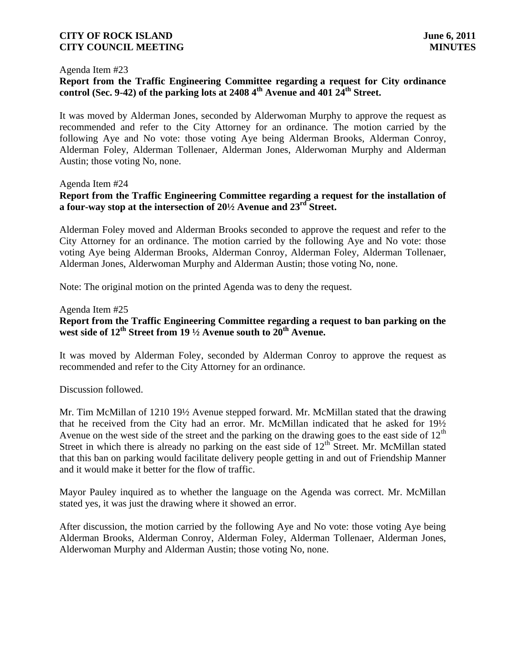#### Agenda Item #23

# **Report from the Traffic Engineering Committee regarding a request for City ordinance control (Sec. 9-42) of the parking lots at 2408 4th Avenue and 401 24th Street.**

It was moved by Alderman Jones, seconded by Alderwoman Murphy to approve the request as recommended and refer to the City Attorney for an ordinance. The motion carried by the following Aye and No vote: those voting Aye being Alderman Brooks, Alderman Conroy, Alderman Foley, Alderman Tollenaer, Alderman Jones, Alderwoman Murphy and Alderman Austin; those voting No, none.

### Agenda Item #24

# **Report from the Traffic Engineering Committee regarding a request for the installation of a four-way stop at the intersection of 20½ Avenue and 23rd Street.**

Alderman Foley moved and Alderman Brooks seconded to approve the request and refer to the City Attorney for an ordinance. The motion carried by the following Aye and No vote: those voting Aye being Alderman Brooks, Alderman Conroy, Alderman Foley, Alderman Tollenaer, Alderman Jones, Alderwoman Murphy and Alderman Austin; those voting No, none.

Note: The original motion on the printed Agenda was to deny the request.

### Agenda Item #25

# **Report from the Traffic Engineering Committee regarding a request to ban parking on the west side of 12th Street from 19 ½ Avenue south to 20th Avenue.**

It was moved by Alderman Foley, seconded by Alderman Conroy to approve the request as recommended and refer to the City Attorney for an ordinance.

Discussion followed.

Mr. Tim McMillan of 1210 19½ Avenue stepped forward. Mr. McMillan stated that the drawing that he received from the City had an error. Mr. McMillan indicated that he asked for 19½ Avenue on the west side of the street and the parking on the drawing goes to the east side of  $12<sup>th</sup>$ Street in which there is already no parking on the east side of  $12<sup>th</sup>$  Street. Mr. McMillan stated that this ban on parking would facilitate delivery people getting in and out of Friendship Manner and it would make it better for the flow of traffic.

Mayor Pauley inquired as to whether the language on the Agenda was correct. Mr. McMillan stated yes, it was just the drawing where it showed an error.

After discussion, the motion carried by the following Aye and No vote: those voting Aye being Alderman Brooks, Alderman Conroy, Alderman Foley, Alderman Tollenaer, Alderman Jones, Alderwoman Murphy and Alderman Austin; those voting No, none.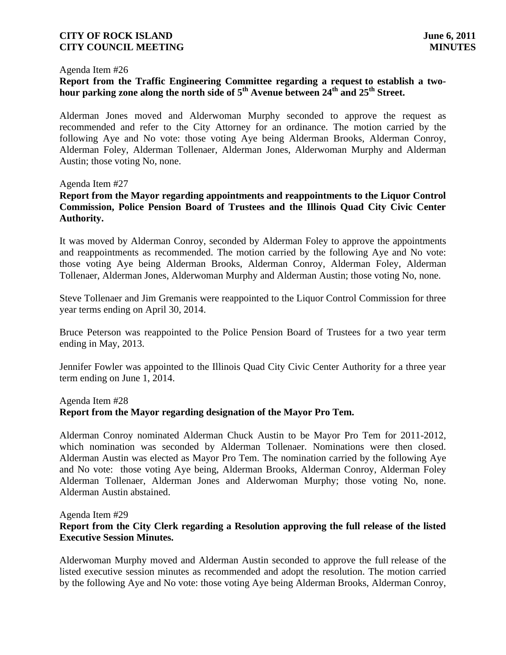### Agenda Item #26

# **Report from the Traffic Engineering Committee regarding a request to establish a twohour parking zone along the north side of 5th Avenue between 24th and 25th Street.**

Alderman Jones moved and Alderwoman Murphy seconded to approve the request as recommended and refer to the City Attorney for an ordinance. The motion carried by the following Aye and No vote: those voting Aye being Alderman Brooks, Alderman Conroy, Alderman Foley, Alderman Tollenaer, Alderman Jones, Alderwoman Murphy and Alderman Austin; those voting No, none.

### Agenda Item #27

# **Report from the Mayor regarding appointments and reappointments to the Liquor Control Commission, Police Pension Board of Trustees and the Illinois Quad City Civic Center Authority.**

It was moved by Alderman Conroy, seconded by Alderman Foley to approve the appointments and reappointments as recommended. The motion carried by the following Aye and No vote: those voting Aye being Alderman Brooks, Alderman Conroy, Alderman Foley, Alderman Tollenaer, Alderman Jones, Alderwoman Murphy and Alderman Austin; those voting No, none.

Steve Tollenaer and Jim Gremanis were reappointed to the Liquor Control Commission for three year terms ending on April 30, 2014.

Bruce Peterson was reappointed to the Police Pension Board of Trustees for a two year term ending in May, 2013.

Jennifer Fowler was appointed to the Illinois Quad City Civic Center Authority for a three year term ending on June 1, 2014.

### Agenda Item #28

## **Report from the Mayor regarding designation of the Mayor Pro Tem.**

Alderman Conroy nominated Alderman Chuck Austin to be Mayor Pro Tem for 2011-2012, which nomination was seconded by Alderman Tollenaer. Nominations were then closed. Alderman Austin was elected as Mayor Pro Tem. The nomination carried by the following Aye and No vote: those voting Aye being, Alderman Brooks, Alderman Conroy, Alderman Foley Alderman Tollenaer, Alderman Jones and Alderwoman Murphy; those voting No, none. Alderman Austin abstained.

# Agenda Item #29 **Report from the City Clerk regarding a Resolution approving the full release of the listed Executive Session Minutes.**

Alderwoman Murphy moved and Alderman Austin seconded to approve the full release of the listed executive session minutes as recommended and adopt the resolution. The motion carried by the following Aye and No vote: those voting Aye being Alderman Brooks, Alderman Conroy,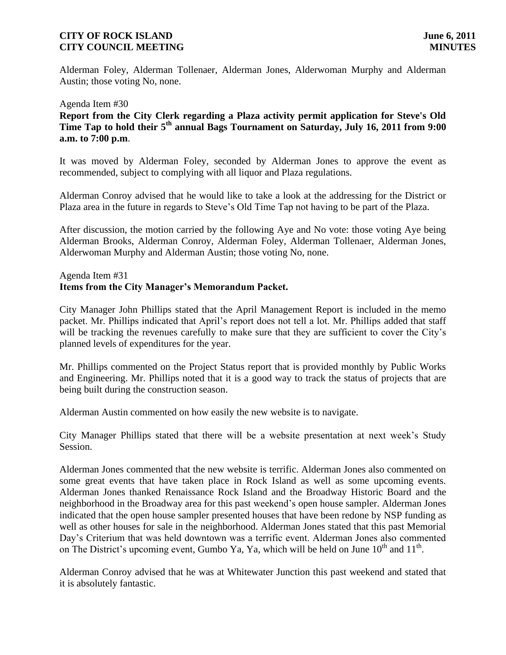Alderman Foley, Alderman Tollenaer, Alderman Jones, Alderwoman Murphy and Alderman Austin; those voting No, none.

### Agenda Item #30

**Report from the City Clerk regarding a Plaza activity permit application for Steve's Old Time Tap to hold their 5th annual Bags Tournament on Saturday, July 16, 2011 from 9:00 a.m. to 7:00 p.m**.

It was moved by Alderman Foley, seconded by Alderman Jones to approve the event as recommended, subject to complying with all liquor and Plaza regulations.

Alderman Conroy advised that he would like to take a look at the addressing for the District or Plaza area in the future in regards to Steve's Old Time Tap not having to be part of the Plaza.

After discussion, the motion carried by the following Aye and No vote: those voting Aye being Alderman Brooks, Alderman Conroy, Alderman Foley, Alderman Tollenaer, Alderman Jones, Alderwoman Murphy and Alderman Austin; those voting No, none.

## Agenda Item #31 **Items from the City Manager's Memorandum Packet.**

City Manager John Phillips stated that the April Management Report is included in the memo packet. Mr. Phillips indicated that April's report does not tell a lot. Mr. Phillips added that staff will be tracking the revenues carefully to make sure that they are sufficient to cover the City's planned levels of expenditures for the year.

Mr. Phillips commented on the Project Status report that is provided monthly by Public Works and Engineering. Mr. Phillips noted that it is a good way to track the status of projects that are being built during the construction season.

Alderman Austin commented on how easily the new website is to navigate.

City Manager Phillips stated that there will be a website presentation at next week's Study Session.

Alderman Jones commented that the new website is terrific. Alderman Jones also commented on some great events that have taken place in Rock Island as well as some upcoming events. Alderman Jones thanked Renaissance Rock Island and the Broadway Historic Board and the neighborhood in the Broadway area for this past weekend's open house sampler. Alderman Jones indicated that the open house sampler presented houses that have been redone by NSP funding as well as other houses for sale in the neighborhood. Alderman Jones stated that this past Memorial Day's Criterium that was held downtown was a terrific event. Alderman Jones also commented on The District's upcoming event, Gumbo Ya, Ya, which will be held on June  $10^{th}$  and  $11^{th}$ .

Alderman Conroy advised that he was at Whitewater Junction this past weekend and stated that it is absolutely fantastic.